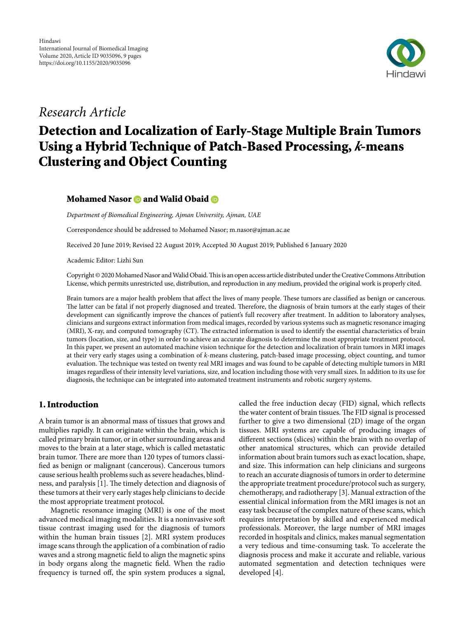

# Research Article

# Detection and Localization of Early-Stage Multiple Brain Tumors Using a Hybrid Technique of Patch-Based Processing, **k**-means Clustering and Object Counting

# MohamedNasor **and Walid Obaid B**

Department of Biomedical Engineering, Ajman University, Ajman, UAE

Correspondence should be addressed to Mohamed Nasor; m.nasor@ajman.ac.ae

Received 20 June 2019; Revised 22 August 2019; Accepted 30 August 2019; Published 6 January 2020

Academic Editor: Lizhi Sun

Copyright © 2020 Mohamed Nasor and Walid Obaid. This is an open access article distributed under the Creative Commons Attribution [License](https://creativecommons.org/licenses/by/4.0/), which permits unrestricted use, distribution, and reproduction in any medium, provided the original work is properly cited.

Brain tumors are a major health problem that affect the lives of many people. These tumors are classified as benign or cancerous. The latter can be fatal if not properly diagnosed and treated. Therefore, the diagnosis of brain tumors at the early stages of their development can significantly improve the chances of patient's full recovery after treatment. In addition to laboratory analyses, clinicians and surgeons extract information from medical images, recorded by various systems such as magnetic resonance imaging (MRI), X-ray, and computed tomography (CT). The extracted information is used to identify the essential characteristics of brain tumors (location, size, and type) in order to achieve an accurate diagnosis to determine the most appropriate treatment protocol. In this paper, we present an automated machine vision technique for the detection and localization of brain tumors in MRI images at their very early stages using a combination of k-means clustering, patch-based image processing, object counting, and tumor evaluation. The technique was tested on twenty real MRI images and was found to be capable of detecting multiple tumors in MRI images regardless of their intensity level variations, size, and location including those with very small sizes. In addition to its use for diagnosis, the technique can be integrated into automated treatment instruments and robotic surgery systems.

## 1. Introduction

A brain tumor is an abnormal mass of tissues that grows and multiplies rapidly. It can originate within the brain, which is called primary brain tumor, or in other surrounding areas and moves to the brain at a later stage, which is called metastatic brain tumor. There are more than 120 types of tumors classified as benign or malignant (cancerous). Cancerous tumors cause serious health problems such as severe headaches, blindness, and paralysis [1]. The timely detection and diagnosis of these tumors at their very early stages help clinicians to decide the most appropriate treatment protocol.

Magnetic resonance imaging (MRI) is one of the most advanced medical imaging modalities. It is a noninvasive so tissue contrast imaging used for the diagnosis of tumors within the human brain tissues [2]. MRI system produces image scans through the application of a combination of radio waves and a strong magnetic field to align the magnetic spins in body organs along the magnetic field. When the radio frequency is turned off, the spin system produces a signal, called the free induction decay (FID) signal, which reflects the water content of brain tissues. The FID signal is processed further to give a two dimensional (2D) image of the organ tissues. MRI systems are capable of producing images of different sections (slices) within the brain with no overlap of other anatomical structures, which can provide detailed information about brain tumors such as exact location, shape, and size. This information can help clinicians and surgeons to reach an accurate diagnosis of tumors in order to determine the appropriate treatment procedure/protocol such as surgery, chemotherapy, and radiotherapy [3]. Manual extraction of the essential clinical information from the MRI images is not an easy task because of the complex nature of these scans, which requires interpretation by skilled and experienced medical professionals. Moreover, the large number of MRI images recorded in hospitals and clinics, makes manual segmentation a very tedious and time-consuming task. To accelerate the diagnosis process and make it accurate and reliable, various automated segmentation and detection techniques were developed [4].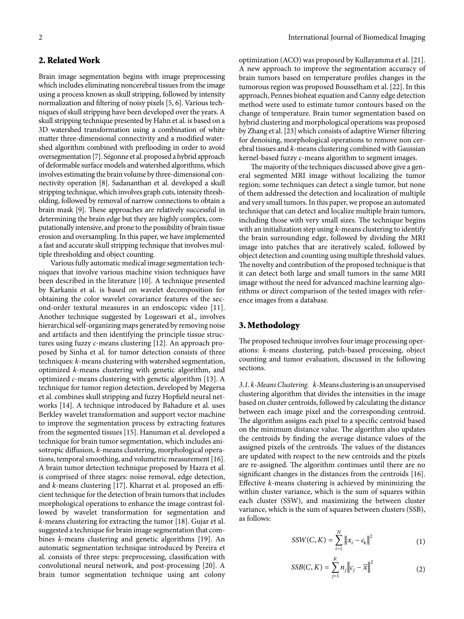# 2. Related Work

Brain image segmentation begins with image preprocessing which includes eliminating noncerebral tissues from the image using a process known as skull stripping, followed by intensity normalization and filtering of noisy pixels [5, 6]. Various techniques of skull stripping have been developed over the years. A skull stripping technique presented by Hahn et al. is based on a 3D watershed transformation using a combination of white matter three-dimensional connectivity and a modified watershed algorithm combined with preflooding in order to avoid oversegmentation [7]. Ségonne et al. proposed a hybrid approach of deformable surface models and watershed algorithms, which involves estimating the brain volume by three-dimensional connectivity operation [8]. Sadananthan et al. developed a skull stripping technique, which involves graph cuts, intensity thresholding, followed by removal of narrow connections to obtain a brain mask [9]. These approaches are relatively successful in determining the brain edge but they are highly complex, computationally intensive, and prone to the possibility of brain tissue erosion and oversampling. In this paper, we have implemented a fast and accurate skull stripping technique that involves multiple thresholding and object counting.

Various fully automatic medical image segmentation techniques that involve various machine vision techniques have been described in the literature [10]. A technique presented by Karkanis et al. is based on wavelet decomposition for obtaining the color wavelet covariance features of the second-order textural measures in an endoscopic video [11]. Another technique suggested by Logeswari et al., involves hierarchical self-organizing maps generated by removing noise and artifacts and then identifying the principle tissue structures using fuzzy c-means clustering [12]. An approach proposed by Sinha et al. for tumor detection consists of three techniques: k-means clustering with watershed segmentation, optimized k-means clustering with genetic algorithm, and optimized c-means clustering with genetic algorithm [13]. A technique for tumor region detection, developed by Megersa et al. combines skull stripping and fuzzy Hopfield neural networks [\[14](#page-8-0)]. A technique introduced by Bahadure et al. uses Berkley wavelet transformation and support vector machine to improve the segmentation process by extracting features from the segmented tissues [\[15\]](#page-8-1). Hanuman et al. developed a technique for brain tumor segmentation, which includes anisotropic diffusion, k-means clustering, morphological operations, temporal smoothing, and volumetric measurement [[16](#page-8-2)]. A brain tumor detection technique proposed by Hazra et al. is comprised of three stages: noise removal, edge detection, and k-means clustering [[17](#page-8-3)]. Kharrat et al. proposed an efficient technique for the detection of brain tumors that includes morphological operations to enhance the image contrast followed by wavelet transformation for segmentation and k-means clustering for extracting the tumor [[18](#page-8-4)]. Gujar et al. suggested a technique for brain image segmentation that combines k-means clustering and genetic algorithms [\[19\]](#page-8-5). An automatic segmentation technique introduced by Pereira et al. consists of three steps: preprocessing, classification with convolutional neural network, and post-processing [\[20\]](#page-8-6). A brain tumor segmentation technique using ant colony

optimization (ACO) was proposed by Kullayamma et al. [[21](#page-8-7)]. A new approach to improve the segmentation accuracy of brain tumors based on temperature profiles changes in the tumorous region was proposed Bousselham et al. [\[22](#page-8-8)]. In this approach, Pennes bioheat equation and Canny edge detection method were used to estimate tumor contours based on the change of temperature. Brain tumor segmentation based on hybrid clustering and morphological operations was proposed by Zhang et al. [\[23\]](#page-8-9) which consists of adaptive Wiener filtering for denoising, morphological operations to remove non cerebral tissues and k-means clustering combined with Gaussian kernel-based fuzzy c-means algorithm to segment images.

The majority of the techniques discussed above give a general segmented MRI image without localizing the tumor region; some techniques can detect a single tumor, but none of them addressed the detection and localization of multiple and very small tumors. In this paper, we propose an automated technique that can detect and localize multiple brain tumors, including those with very small sizes. The technique begins with an initialization step using  $k$ -means clustering to identify the brain surrounding edge, followed by dividing the MRI image into patches that are iteratively scaled, followed by object detection and counting using multiple threshold values. The novelty and contribution of the proposed technique is that it can detect both large and small tumors in the same MRI image without the need for advanced machine learning algorithms or direct comparison of the tested images with reference images from a database.

#### 3. Methodology

The proposed technique involves four image processing operations: k-means clustering, patch-based processing, object counting and tumor evaluation, discussed in the following sections.

3.1. k-Means Clustering. k-Means clustering is an unsupervised clustering algorithm that divides the intensities in the image based on cluster centroids, followed by calculating the distance between each image pixel and the corresponding centroid. The algorithm assigns each pixel to a specific centroid based on the minimum distance value. The algorithm also updates the centroids by finding the average distance values of the assigned pixels of the centroids. The values of the distances are updated with respect to the new centroids and the pixels are re-assigned. The algorithm continues until there are no significant changes in the distances from the centroids [[16](#page-8-2)]. Effective k-means clustering is achieved by minimizing the within cluster variance, which is the sum of squares within each cluster (SSW), and maximizing the between cluster variance, which is the sum of squares between clusters (SSB), as follows:

$$
SSW(C, K) = \sum_{i=1}^{N} ||x_i - c_k||^2
$$
 (1)

$$
SSB(C, K) = \sum_{j=1}^{K} n_j \|c_j - \overline{x}\|^2
$$
 (2)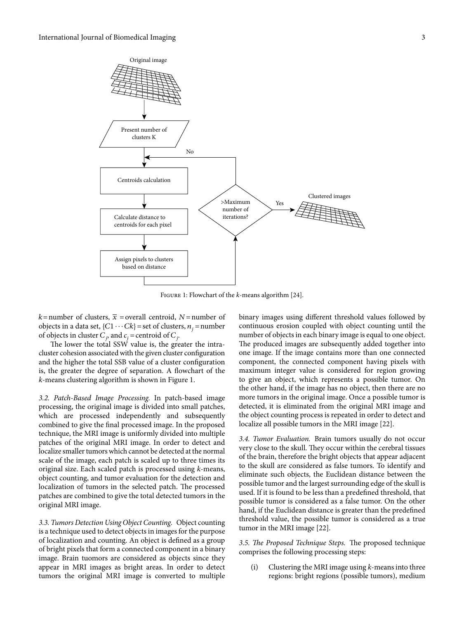

FIGURE 1: Flowchart of the *k*-means algorithm [[24](#page-8-10)].

 $k$ = number of clusters,  $\bar{x}$  = overall centroid, N = number of objects in a data set, { $C1 \cdots Ck$ } = set of clusters,  $n_j$  = number of objects in cluster  $C_j$ , and  $c_j$  = centroid of  $C_j$ .

The lower the total SSW value is, the greater the intracluster cohesion associated with the given cluster configuration and the higher the total SSB value of a cluster configuration is, the greater the degree of separation. A flowchart of the k-means clustering algorithm is shown in Figure 1.

3.2. Patch-Based Image Processing. In patch-based image processing, the original image is divided into small patches, which are processed independently and subsequently combined to give the final processed image. In the proposed technique, the MRI image is uniformly divided into multiple patches of the original MRI image. In order to detect and localize smaller tumors which cannot be detected at the normal scale of the image, each patch is scaled up to three times its original size. Each scaled patch is processed using k-means, object counting, and tumor evaluation for the detection and localization of tumors in the selected patch. The processed patches are combined to give the total detected tumors in the original MRI image.

3.3. Tumors Detection Using Object Counting. Object counting is a technique used to detect objects in images for the purpose of localization and counting. An object is defined as a group of bright pixels that form a connected component in a binary image. Brain tuomors are considered as objects since they appear in MRI images as bright areas. In order to detect tumors the original MRI image is converted to multiple

binary images using different threshold values followed by continuous erosion coupled with object counting until the number of objects in each binary image is equal to one object. The produced images are subsequently added together into one image. If the image contains more than one connected component, the connected component having pixels with maximum integer value is considered for region growing to give an object, which represents a possible tumor. On the other hand, if the image has no object, then there are no more tumors in the original image. Once a possible tumor is detected, it is eliminated from the original MRI image and the object counting process is repeated in order to detect and localize all possible tumors in the MRI image [\[22](#page-8-8)].

3.4. Tumor Evaluation. Brain tumors usually do not occur very close to the skull. They occur within the cerebral tissues of the brain, therefore the bright objects that appear adjacent to the skull are considered as false tumors. To identify and eliminate such objects, the Euclidean distance between the possible tumor and the largest surrounding edge of the skull is used. If it is found to be less than a predefined threshold, that possible tumor is considered as a false tumor. On the other hand, if the Euclidean distance is greater than the predefined threshold value, the possible tumor is considered as a true tumor in the MRI image [\[22\]](#page-8-8).

3.5. The Proposed Technique Steps. The proposed technique comprises the following processing steps:

(i) Clustering the MRI image using  $k$ -means into three regions: bright regions (possible tumors), medium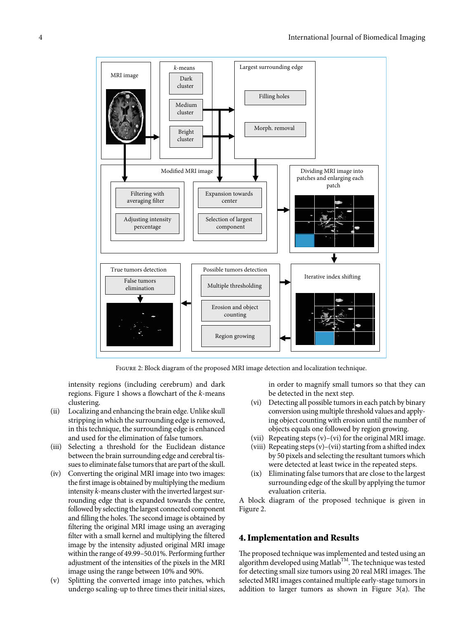

Figure 2: Block diagram of the proposed MRI image detection and localization technique.

intensity regions (including cerebrum) and dark regions. Figure 1 shows a flowchart of the k-means clustering.

- (ii) Localizing and enhancing the brain edge. Unlike skull stripping in which the surrounding edge is removed, in this technique, the surrounding edge is enhanced and used for the elimination of false tumors.
- (iii) Selecting a threshold for the Euclidean distance between the brain surrounding edge and cerebral tissues to eliminate false tumors that are part of the skull.
- (iv) Converting the original MRI image into two images: the first image is obtained by multiplying the medium intensity k-means cluster with the inverted largest surrounding edge that is expanded towards the centre, followed by selecting the largest connected component and filling the holes. The second image is obtained by filtering the original MRI image using an averaging filter with a small kernel and multiplying the filtered image by the intensity adjusted original MRI image within the range of 49.99–50.01%. Performing further adjustment of the intensities of the pixels in the MRI image using the range between 10% and 90%.
- (v) Splitting the converted image into patches, which undergo scaling-up to three times their initial sizes,

in order to magnify small tumors so that they can be detected in the next step.

- (vi) Detecting all possible tumors in each patch by binary conversion using multiple threshold values and applying object counting with erosion until the number of objects equals one followed by region growing.
- (vii) Repeating steps (v)–(vi) for the original MRI image.
- (viii) Repeating steps  $(v)$ –(vii) starting from a shifted index by 50 pixels and selecting the resultant tumors which were detected at least twice in the repeated steps.
- (ix) Eliminating false tumors that are close to the largest surrounding edge of the skull by applying the tumor evaluation criteria.

A block diagram of the proposed technique is given in Figure 2.

#### 4. Implementation and Results

The proposed technique was implemented and tested using an algorithm developed using Matlab<sup>TM</sup>. The technique was tested for detecting small size tumors using 20 real MRI images. The selected MRI images contained multiple early-stage tumors in addition to larger tumors as shown in Figure 3(a). The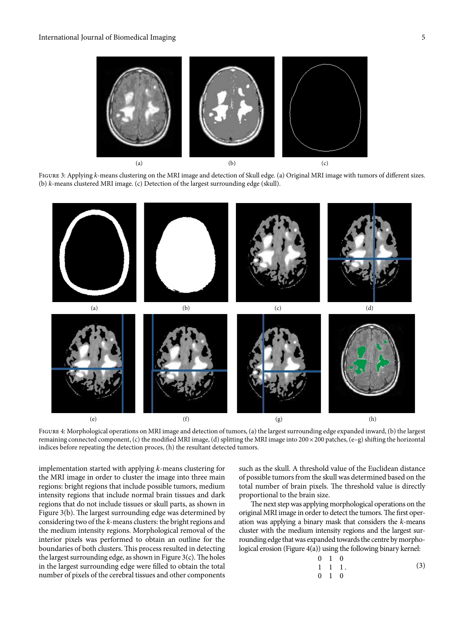

FIGURE 3: Applying k-means clustering on the MRI image and detection of Skull edge. (a) Original MRI image with tumors of different sizes. (b) k-means clustered MRI image. (c) Detection of the largest surrounding edge (skull).



FIGURE 4: Morphological operations on MRI image and detection of tumors, (a) the largest surrounding edge expanded inward, (b) the largest remaining connected component, (c) the modified MRI image, (d) splitting the MRI image into  $200 \times 200$  patches, (e–g) shifting the horizontal indices before repeating the detection proces, (h) the resultant detected tumors.

implementation started with applying k-means clustering for the MRI image in order to cluster the image into three main regions: bright regions that include possible tumors, medium intensity regions that include normal brain tissues and dark regions that do not include tissues or skull parts, as shown in Figure  $3(b)$ . The largest surrounding edge was determined by considering two of the k-means clusters: the bright regions and the medium intensity regions. Morphological removal of the interior pixels was performed to obtain an outline for the boundaries of both clusters. This process resulted in detecting the largest surrounding edge, as shown in Figure  $3(c)$ . The holes in the largest surrounding edge were filled to obtain the total number of pixels of the cerebral tissues and other components

such as the skull. A threshold value of the Euclidean distance of possible tumors from the skull was determined based on the total number of brain pixels. The threshold value is directly proportional to the brain size.

The next step was applying morphological operations on the original MRI image in order to detect the tumors. The first operation was applying a binary mask that considers the k-means cluster with the medium intensity regions and the largest surrounding edge that was expanded towards the centre by morphological erosion (Figure 4(a)) using the following binary kernel:

$$
\begin{array}{cccc}\n0 & 1 & 0 \\
1 & 1 & 1 \\
0 & 1 & 0\n\end{array} \tag{3}
$$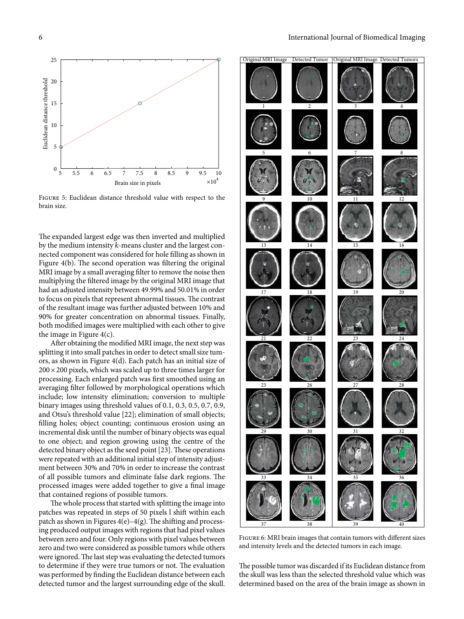

Figure 5: Euclidean distance threshold value with respect to the brain size.

The expanded largest edge was then inverted and multiplied by the medium intensity k-means cluster and the largest connected component was considered for hole filling as shown in Figure  $4(b)$ . The second operation was filtering the original MRI image by a small averaging filter to remove the noise then multiplying the filtered image by the original MRI image that had an adjusted intensity between 49.99% and 50.01% in order to focus on pixels that represent abnormal tissues. The contrast of the resultant image was further adjusted between 10% and 90% for greater concentration on abnormal tissues. Finally, both modified images were multiplied with each other to give the image in Figure  $4(c)$ .

After obtaining the modified MRI image, the next step was splitting it into small patches in order to detect small size tumors, as shown in Figure 4(d). Each patch has an initial size of  $200 \times 200$  pixels, which was scaled up to three times larger for processing. Each enlarged patch was first smoothed using an averaging filter followed by morphological operations which include; low intensity elimination; conversion to multiple binary images using threshold values of 0.1, 0.3, 0.5, 0.7, 0.9, and Otsu's threshold value [[22](#page-8-8)]; elimination of small objects; filling holes; object counting; continuous erosion using an incremental disk until the number of binary objects was equal to one object; and region growing using the centre of the detected binary object as the seed point [[23](#page-8-9)]. These operations were repeated with an additional initial step of intensity adjustment between 30% and 70% in order to increase the contrast of all possible tumors and eliminate false dark regions. The processed images were added together to give a final image that contained regions of possible tumors.

The whole process that started with splitting the image into patches was repeated in steps of 50 pixels l shift within each patch as shown in Figures  $4(e) - 4(g)$ . The shifting and processing produced output images with regions that had pixel values between zero and four. Only regions with pixel values between zero and two were considered as possible tumors while others were ignored. The last step was evaluating the detected tumors to determine if they were true tumors or not. The evaluation was performed by finding the Euclidean distance between each detected tumor and the largest surrounding edge of the skull.



Figure 6: MRI brain images that contain tumors with different sizes and intensity levels and the detected tumors in each image.

The possible tumor was discarded if its Euclidean distance from the skull was less than the selected threshold value which was determined based on the area of the brain image as shown in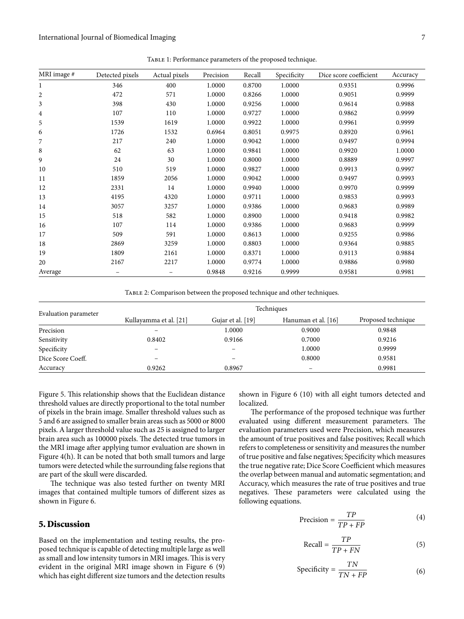| MRI image #  | Detected pixels          | Actual pixels     | Precision | Recall | Specificity | Dice score coefficient | Accuracy |
|--------------|--------------------------|-------------------|-----------|--------|-------------|------------------------|----------|
| $\mathbf{1}$ | 346                      | 400               | 1.0000    | 0.8700 | 1.0000      | 0.9351                 | 0.9996   |
| 2            | 472                      | 571               | 1.0000    | 0.8266 | 1.0000      | 0.9051                 | 0.9999   |
| 3            | 398                      | 430               | 1.0000    | 0.9256 | 1.0000      | 0.9614                 | 0.9988   |
| 4            | 107                      | 110               | 1.0000    | 0.9727 | 1.0000      | 0.9862                 | 0.9999   |
| 5            | 1539                     | 1619              | 1.0000    | 0.9922 | 1.0000      | 0.9961                 | 0.9999   |
| 6            | 1726                     | 1532              | 0.6964    | 0.8051 | 0.9975      | 0.8920                 | 0.9961   |
| 7            | 217                      | 240               | 1.0000    | 0.9042 | 1.0000      | 0.9497                 | 0.9994   |
| 8            | 62                       | 63                | 1.0000    | 0.9841 | 1.0000      | 0.9920                 | 1.0000   |
| 9            | 24                       | 30                | 1.0000    | 0.8000 | 1.0000      | 0.8889                 | 0.9997   |
| 10           | 510                      | 519               | 1.0000    | 0.9827 | 1.0000      | 0.9913                 | 0.9997   |
| 11           | 1859                     | 2056              | 1.0000    | 0.9042 | 1.0000      | 0.9497                 | 0.9993   |
| 12           | 2331                     | 14                | 1.0000    | 0.9940 | 1.0000      | 0.9970                 | 0.9999   |
| 13           | 4195                     | 4320              | 1.0000    | 0.9711 | 1.0000      | 0.9853                 | 0.9993   |
| 14           | 3057                     | 3257              | 1.0000    | 0.9386 | 1.0000      | 0.9683                 | 0.9989   |
| 15           | 518                      | 582               | 1.0000    | 0.8900 | 1.0000      | 0.9418                 | 0.9982   |
| 16           | 107                      | 114               | 1.0000    | 0.9386 | 1.0000      | 0.9683                 | 0.9999   |
| 17           | 509                      | 591               | 1.0000    | 0.8613 | 1.0000      | 0.9255                 | 0.9986   |
| 18           | 2869                     | 3259              | 1.0000    | 0.8803 | 1.0000      | 0.9364                 | 0.9885   |
| 19           | 1809                     | 2161              | 1.0000    | 0.8371 | 1.0000      | 0.9113                 | 0.9884   |
| 20           | 2167                     | 2217              | 1.0000    | 0.9774 | 1.0000      | 0.9886                 | 0.9980   |
| Average      | $\overline{\phantom{m}}$ | $\qquad \qquad -$ | 0.9848    | 0.9216 | 0.9999      | 0.9581                 | 0.9981   |

Table 1: Performance parameters of the proposed technique.

Table 2: Comparison between the proposed technique and other techniques.

|                      | Techniques             |                   |                          |                    |  |  |  |
|----------------------|------------------------|-------------------|--------------------------|--------------------|--|--|--|
| Evaluation parameter | Kullayamma et al. [21] | Gujar et al. [19] | Hanuman et al. [16]      | Proposed technique |  |  |  |
| Precision            |                        | 1.0000            | 0.9000                   | 0.9848             |  |  |  |
| Sensitivity          | 0.8402                 | 0.9166            | 0.7000                   | 0.9216             |  |  |  |
| Specificity          |                        |                   | 1.0000                   | 0.9999             |  |  |  |
| Dice Score Coeff.    |                        |                   | 0.8000                   | 0.9581             |  |  |  |
| Accuracy             | 0.9262                 | 0.8967            | $\overline{\phantom{0}}$ | 0.9981             |  |  |  |

Figure 5. This relationship shows that the Euclidean distance threshold values are directly proportional to the total number of pixels in the brain image. Smaller threshold values such as 5 and 6 are assigned to smaller brain areas such as 5000 or 8000 pixels. A larger threshold value such as 25 is assigned to larger brain area such as 100000 pixels. The detected true tumors in the MRI image after applying tumor evaluation are shown in Figure 4(h). It can be noted that both small tumors and large tumors were detected while the surrounding false regions that are part of the skull were discarded.

The technique was also tested further on twenty MRI images that contained multiple tumors of different sizes as shown in Figure 6.

#### 5. Discussion

Based on the implementation and testing results, the proposed technique is capable of detecting multiple large as well as small and low intensity tumors in MRI images. This is very evident in the original MRI image shown in Figure 6 (9) which has eight different size tumors and the detection results

shown in Figure 6 (10) with all eight tumors detected and localized.

The performance of the proposed technique was further evaluated using different measurement parameters. The evaluation parameters used were Precision, which measures the amount of true positives and false positives; Recall which refers to completeness or sensitivity and measures the number of true positive and false negatives; Specificity which measures the true negative rate; Dice Score Coefficient which measures the overlap between manual and automatic segmentation; and Accuracy, which measures the rate of true positives and true negatives. These parameters were calculated using the following equations.

$$
Precision = \frac{TP}{TP + FP}
$$
 (4)

$$
\text{Recall} = \frac{TP}{TP + FN} \tag{5}
$$

$$
Specificity = \frac{TN}{TN + FP}
$$
 (6)

 $\overline{a}$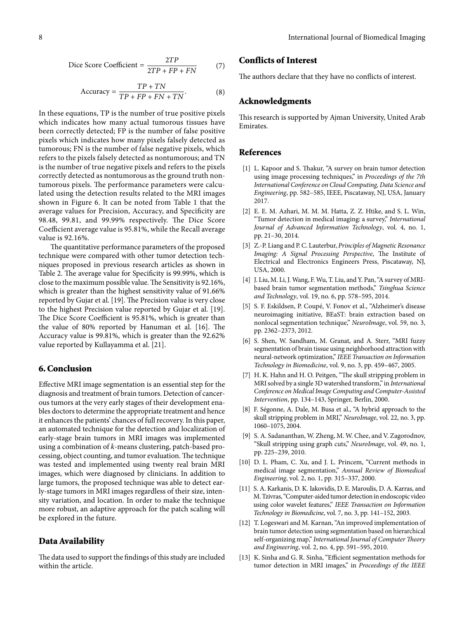$$
\text{Dice Score Coefficient} = \frac{2TP}{2TP + FP + FN} \tag{7}
$$

$$
Accuracy = \frac{TP + TN}{TP + FP + FN + TN}.
$$
 (8)

In these equations, TP is the number of true positive pixels which indicates how many actual tumorous tissues have been correctly detected; FP is the number of false positive pixels which indicates how many pixels falsely detected as tumorous; FN is the number of false negative pixels, which refers to the pixels falsely detected as nontumorous; and TN is the number of true negative pixels and refers to the pixels correctly detected as nontumorous as the ground truth nontumorous pixels. The performance parameters were calculated using the detection results related to the MRI images shown in Figure 6. It can be noted from Table 1 that the average values for Precision, Accuracy, and Specificity are 98.48, 99.81, and 99.99% respectively. The Dice Score Coefficient average value is 95.81%, while the Recall average value is 92.16%.

The quantitative performance parameters of the proposed technique were compared with other tumor detection techniques proposed in previous research articles as shown in Table 2. The average value for Specificity is 99.99%, which is close to the maximum possible value. The Sensitivity is 92.16%, which is greater than the highest sensitivity value of 91.66% reported by Gujar et al. [[19\]](#page-8-5). The Precision value is very close to the highest Precision value reported by Gujar et al. [[19](#page-8-5)]. The Dice Score Coefficient is 95.81%, which is greater than the value of  $80\%$  reported by Hanuman et al. [[16\]](#page-8-2). The Accuracy value is 99.81%, which is greater than the 92.62% value reported by Kullayamma et al. [\[21\]](#page-8-7).

## 6. Conclusion

Effective MRI image segmentation is an essential step for the diagnosis and treatment of brain tumors. Detection of cancerous tumors at the very early stages of their development enables doctors to determine the appropriate treatment and hence it enhances the patients' chances of full recovery. In this paper, an automated technique for the detection and localization of early-stage brain tumors in MRI images was implemented using a combination of k-means clustering, patch-based processing, object counting, and tumor evaluation. The technique was tested and implemented using twenty real brain MRI images, which were diagnosed by clinicians. In addition to large tumors, the proposed technique was able to detect early-stage tumors in MRI images regardless of their size, intensity variation, and location. In order to make the technique more robust, an adaptive approach for the patch scaling will be explored in the future.

#### Data Availability

The data used to support the findings of this study are included within the article.

# Conflicts of Interest

The authors declare that they have no conflicts of interest.

#### Acknowledgments

This research is supported by Ajman University, United Arab Emirates.

#### References

- [1] L. Kapoor and S. Thakur, "A survey on brain tumor detection using image processing techniques," in Proceedings of the 7th International Conference on Cloud Computing, Data Science and Engineering, pp. 582–585, IEEE, Piscataway, NJ, USA, January 2017.
- [2] E. E. M. Azhari, M. M. M. Hatta, Z. Z. Htike, and S. L. Win, "Tumor detection in medical imaging: a survey," International Journal of Advanced Information Technology, vol. 4, no. 1, pp. 21–30, 2014.
- [3] Z.-P. Liang and P. C. Lauterbur, Principles of Magnetic Resonance Imaging: A Signal Processing Perspective, The Institute of Electrical and Electronics Engineers Press, Piscataway, NJ, USA, 2000.
- [4] J. Liu, M. Li, J. Wang, F. Wu, T. Liu, and Y. Pan, "A survey of MRIbased brain tumor segmentation methods," Tsinghua Science and Technology, vol. 19, no. 6, pp. 578–595, 2014.
- [5] S. F. Eskildsen, P. Coupé, V. Fonov et al., "Alzheimer's disease neuroimaging initiative, BEaST: brain extraction based on nonlocal segmentation technique," NeuroImage, vol. 59, no. 3, pp. 2362–2373, 2012.
- [6] S. Shen, W. Sandham, M. Granat, and A. Sterr, "MRI fuzzy segmentation of brain tissue using neighborhood attraction with neural-network optimization," IEEE Transaction on Information Technology in Biomedicine, vol. 9, no. 3, pp. 459–467, 2005.
- [7] H. K. Hahn and H. O. Peitgen, "The skull stripping problem in MRI solved by a single 3D watershed transform," in International Conference on Medical Image Computing and Computer-Assisted Intervention, pp. 134–143, Springer, Berlin, 2000.
- [8] F. Ségonne, A. Dale, M. Busa et al., "A hybrid approach to the skull stripping problem in MRI," NeuroImage, vol. 22, no. 3, pp. 1060–1075, 2004.
- [9] S. A. Sadananthan, W. Zheng, M. W. Chee, and V. Zagorodnov, "Skull stripping using graph cuts," NeuroImage, vol. 49, no. 1, pp. 225–239, 2010.
- [10] D. L. Pham, C. Xu, and J. L. Princem, "Current methods in medical image segmentation," Annual Review of Biomedical Engineering, vol. 2, no. 1, pp. 315–337, 2000.
- [11] S. A. Karkanis, D. K. Iakovidis, D. E. Maroulis, D. A. Karras, and M. Tzivras, "Computer-aided tumor detection in endoscopic video using color wavelet features," IEEE Transaction on Information Technology in Biomedicine, vol. 7, no. 3, pp. 141–152, 2003.
- [12] T. Logeswari and M. Karnan, "An improved implementation of brain tumor detection using segmentation based on hierarchical self-organizing map," International Journal of Computer Theory and Engineering, vol. 2, no. 4, pp. 591–595, 2010.
- [13] K. Sinha and G. R. Sinha, "Efficient segmentation methods for tumor detection in MRI images," in Proceedings of the IEEE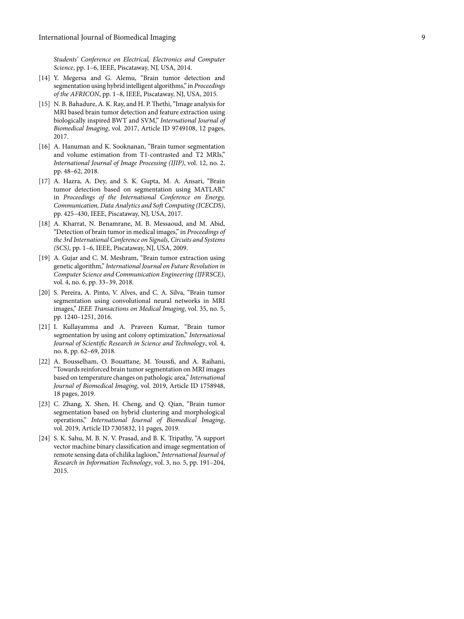Students' Conference on Electrical, Electronics and Computer Science, pp. 1-6, IEEE, Piscataway, NJ, USA, 2014.

- <span id="page-8-0"></span>[14] Y. Megersa and G. Alemu, "Brain tumor detection and segmentation using hybrid intelligent algorithms," in Proceedings of the AFRICON, pp. 1–8, IEEE, Piscataway, NJ, USA, 2015.
- <span id="page-8-1"></span>[15] N. B. Bahadure, A. K. Ray, and H. P. Thethi, "Image analysis for MRI based brain tumor detection and feature extraction using biologically inspired BWT and SVM," International Journal of Biomedical Imaging, vol. 2017, Article ID 9749108, 12 pages, 2017.
- <span id="page-8-2"></span>[16] A. Hanuman and K. Sooknanan, "Brain tumor segmentation and volume estimation from T1-contrasted and T2 MRIs," International Journal of Image Processing (IJIP), vol. 12, no. 2, pp. 48–62, 2018.
- <span id="page-8-3"></span>[17] A. Hazra, A. Dey, and S. K. Gupta, M. A. Ansari, "Brain tumor detection based on segmentation using MATLAB," in Proceedings of the International Conference on Energy, Communication, Data Analytics and Soft Computing (ICECDS), pp. 425–430, IEEE, Piscataway, NJ, USA, 2017.
- <span id="page-8-4"></span>[18] A. Kharrat, N. Benamrane, M. B. Messaoud, and M. Abid, "Detection of brain tumor in medical images," in Proceedings of the 3rd International Conference on Signals, Circuits and Systems (SCS), pp. 1–6, IEEE, Piscataway, NJ, USA, 2009.
- <span id="page-8-5"></span>[19] A. Gujar and C. M. Meshram, "Brain tumor extraction using genetic algorithm," International Journal on Future Revolution in Computer Science and Communication Engineering (IJFRSCE), vol. 4, no. 6, pp. 33–39, 2018.
- <span id="page-8-6"></span>[20] S. Pereira, A. Pinto, V. Alves, and C. A. Silva, "Brain tumor segmentation using convolutional neural networks in MRI images," IEEE Transactions on Medical Imaging, vol. 35, no. 5, pp. 1240–1251, 2016.
- <span id="page-8-7"></span>[21] I. Kullayamma and A. Praveen Kumar, "Brain tumor segmentation by using ant colony optimization," International Journal of Scientific Research in Science and Technology, vol. 4, no. 8, pp. 62–69, 2018.
- <span id="page-8-8"></span>[22] A. Bousselham, O. Bouattane, M. Youssfi, and A. Raihani, "Towards reinforced brain tumor segmentation on MRI images based on temperature changes on pathologic area," International Journal of Biomedical Imaging, vol. 2019, Article ID 1758948, 18 pages, 2019.
- <span id="page-8-9"></span>[23] C. Zhang, X. Shen, H. Cheng, and Q. Qian, "Brain tumor segmentation based on hybrid clustering and morphological operations," International Journal of Biomedical Imaging, vol. 2019, Article ID 7305832, 11 pages, 2019.
- <span id="page-8-10"></span>[24] S. K. Sahu, M. B. N. V. Prasad, and B. K. Tripathy, "A support vector machine binary classification and image segmentation of remote sensing data of chilika lagloon," International Journal of Research in Information Technology, vol. 3, no. 5, pp. 191–204, 2015.